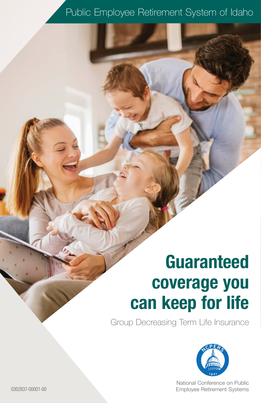### Public Employee Retirement System of Idaho

# **Guaranteed coverage you can keep for life**

Group Decreasing Term Life Insurance



National Conference on Public 0302837-00001-00 Employee Retirement Systems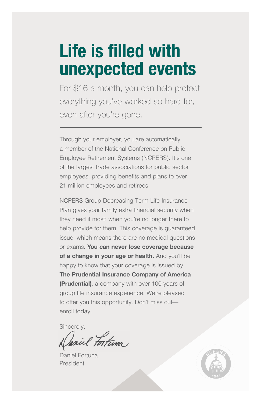# **Life is filled with unexpected events**

For \$16 a month, you can help protect everything you've worked so hard for, even after you're gone.

Through your employer, you are automatically a member of the National Conference on Public Employee Retirement Systems (NCPERS). It's one of the largest trade associations for public sector employees, providing benefits and plans to over 21 million employees and retirees.

NCPERS Group Decreasing Term Life Insurance Plan gives your family extra financial security when they need it most: when you're no longer there to help provide for them. This coverage is guaranteed issue, which means there are no medical questions or exams. **You can never lose coverage because**  of a change in your age or health. And you'll be happy to know that your coverage is issued by **The Prudential Insurance Company of America (Prudential)**, a company with over 100 years of group life insurance experience. We're pleased to offer you this opportunity. Don't miss out enroll today.

Sincerely,

il Fortuna

Daniel Fortuna President

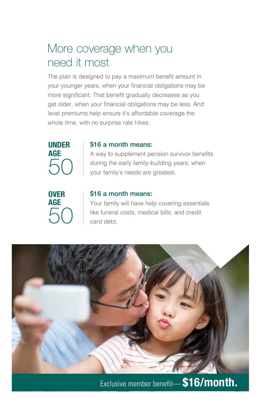### More coverage when you need it most

The plan is designed to pay a maximum benefit amount in your younger years, when your financial obligations may be more significant. That benefit gradually decreases as you get older, when your financial obligations may be less. And level premiums help ensure it's affordable coverage the whole time, with no surprise rate hikes.



#### \$16 a month means:

A way to supplement pension survivor benefits during the early family-building years, when your family's needs are greatest.



#### \$16 a month means:

Your family will have help covering essentials like funeral costs, medical bills, and credit card debt.



Exclusive member benefit— **\$16/month.**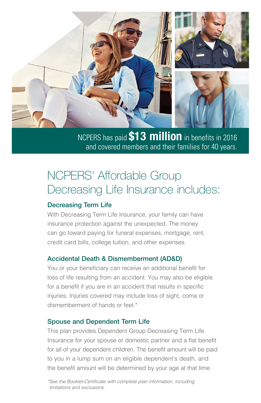

NCPERS has paid **\$13 million** in benefits in 2016 and covered members and their families for 40 years.

## NCPERS' Affordable Group Decreasing Life Insurance includes:

#### Decreasing Term Life

With Decreasing Term Life Insurance, your family can have insurance protection against the unexpected. The money can go toward paying for funeral expenses, mortgage, rent, credit card bills, college tuition, and other expenses.

#### Accidental Death & Dismemberment (AD&D)

You or your beneficiary can receive an additional benefit for loss of life resulting from an accident. You may also be eligible for a benefit if you are in an accident that results in specific injuries. Injuries covered may include loss of sight, coma or dismemberment of hands or feet.\*

#### Spouse and Dependent Term Life

This plan provides Dependent Group Decreasing Term Life Insurance for your spouse or domestic partner and a flat benefit for all of your dependent children. The benefit amount will be paid to you in a lump sum on an eligible dependent's death, and the benefit amount will be determined by your age at that time.

*\*See the Booklet-Certificate with complete plan information, including limitations and exclusions.*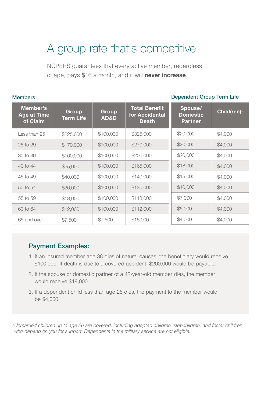### A group rate that's competitive

NCPERS guarantees that every active member, regardless of age, pays \$16 a month, and it will **never increase**.

| <b>Members</b><br>Dependent group ferm Life |                                            |                           |                          |                                                        |                                              |                         |
|---------------------------------------------|--------------------------------------------|---------------------------|--------------------------|--------------------------------------------------------|----------------------------------------------|-------------------------|
|                                             | Member's<br><b>Age at Time</b><br>of Claim | Group<br><b>Term Life</b> | Group<br><b>AD&amp;D</b> | <b>Total Benefit</b><br>for Accidental<br><b>Death</b> | Spouse/<br><b>Domestic</b><br><b>Partner</b> | Child(ren) <sup>*</sup> |
|                                             | Less than 25                               | \$225,000                 | \$100,000                | \$325,000                                              | \$20,000                                     | \$4,000                 |
|                                             | 25 to 29                                   | \$170,000                 | \$100,000                | \$270,000                                              | \$20,000                                     | \$4,000                 |
|                                             | 30 to 39                                   | \$100,000                 | \$100,000                | \$200,000                                              | \$20,000                                     | \$4,000                 |
|                                             | 40 to 44                                   | \$65,000                  | \$100,000                | \$165,000                                              | \$18,000                                     | \$4,000                 |
|                                             | 45 to 49                                   | \$40,000                  | \$100,000                | \$140,000                                              | \$15,000                                     | \$4,000                 |
|                                             | 50 to 54                                   | \$30,000                  | \$100,000                | \$130,000                                              | \$10,000                                     | \$4,000                 |
|                                             | 55 to 59                                   | \$18,000                  | \$100,000                | \$118,000                                              | \$7,000                                      | \$4,000                 |
|                                             | 60 to 64                                   | \$12,000                  | \$100,000                | \$112,000                                              | \$5,000                                      | \$4,000                 |
|                                             | 65 and over                                | \$7,500                   | \$7,500                  | \$15,000                                               | \$4,000                                      | \$4,000                 |
|                                             |                                            |                           |                          |                                                        |                                              |                         |

#### Members Dependent Group Term Life

#### Payment Examples:

- 1. If an insured member age 38 dies of natural causes, the beneficiary would receive \$100,000. If death is due to a covered accident, \$200,000 would be payable.
- 2. If the spouse or domestic partner of a 42-year-old member dies, the member would receive \$18,000.
- 3. If a dependent child less than age 26 dies, the payment to the member would be \$4,000.

*\*Unmarried children up to age 26 are covered, including adopted children, stepchildren, and foster children who depend on you for support. Dependents in the military service are not eligible.*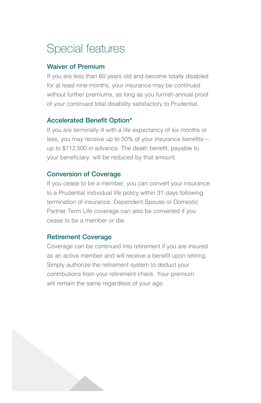## Special features

#### Waiver of Premium

If you are less than 60 years old and become totally disabled for at least nine months, your insurance may be continued without further premiums, as long as you furnish annual proof of your continued total disability satisfactory to Prudential.

#### Accelerated Benefit Option\*

If you are terminally ill with a life expectancy of six months or less, you may receive up to 50% of your insurance benefits up to \$112,500 in advance. The death benefit, payable to your beneficiary, will be reduced by that amount.

#### Conversion of Coverage

If you cease to be a member, you can convert your insurance to a Prudential individual life policy within 31 days following termination of insurance. Dependent Spouse or Domestic Partner Term Life coverage can also be converted if you cease to be a member or die.

#### Retirement Coverage

Coverage can be continued into retirement if you are insured as an active member and will receive a benefit upon retiring. Simply authorize the retirement system to deduct your contributions from your retirement check. Your premium will remain the same regardless of your age.

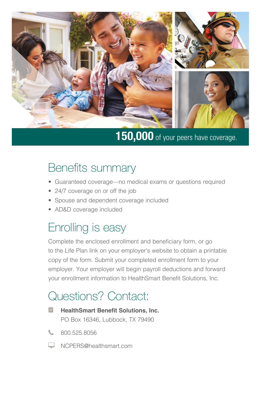

# **150,000** of your peers have coverage.

### Benefits summary

- Guaranteed coverage—no medical exams or questions required
- 24/7 coverage on or off the job
- Spouse and dependent coverage included
- AD&D coverage included

### Enrolling is easy

Complete the enclosed enrollment and beneficiary form, or go to the Life Plan link on your employer's website to obtain a printable copy of the form. Submit your completed enrollment form to your employer. Your employer will begin payroll deductions and forward your enrollment information to HealthSmart Benefit Solutions, Inc.

## Questions? Contact:

- $|_{\mathcal{Q}}|$ **HealthSmart Benefit Solutions, Inc.** PO Box 16346, Lubbock, TX 79490
- 800.525.8056
- **WALERS@healthsmart.com**